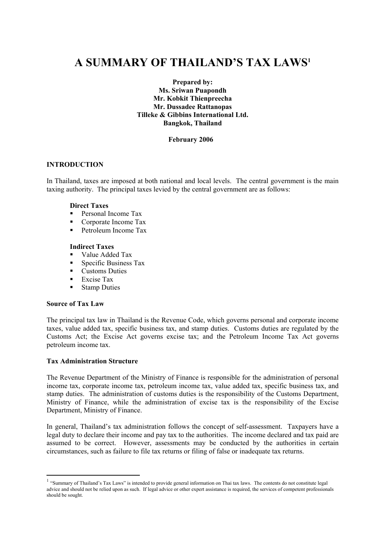# **A SUMMARY OF THAILAND'S TAX LAWS1**

**Prepared by: Ms. Sriwan Puapondh Mr. Kobkit Thienpreecha Mr. Dussadee Rattanopas Tilleke & Gibbins International Ltd. Bangkok, Thailand** 

#### **February 2006**

#### **INTRODUCTION**

In Thailand, taxes are imposed at both national and local levels. The central government is the main taxing authority. The principal taxes levied by the central government are as follows:

#### **Direct Taxes**

- Personal Income Tax
- Corporate Income Tax
- Petroleum Income Tax

#### **Indirect Taxes**

- Value Added Tax
- **Specific Business Tax**
- Customs Duties
- Excise Tax
- Stamp Duties

#### **Source of Tax Law**

 $\overline{a}$ 

The principal tax law in Thailand is the Revenue Code, which governs personal and corporate income taxes, value added tax, specific business tax, and stamp duties. Customs duties are regulated by the Customs Act; the Excise Act governs excise tax; and the Petroleum Income Tax Act governs petroleum income tax.

#### **Tax Administration Structure**

The Revenue Department of the Ministry of Finance is responsible for the administration of personal income tax, corporate income tax, petroleum income tax, value added tax, specific business tax, and stamp duties. The administration of customs duties is the responsibility of the Customs Department, Ministry of Finance, while the administration of excise tax is the responsibility of the Excise Department, Ministry of Finance.

In general, Thailand's tax administration follows the concept of self-assessment. Taxpayers have a legal duty to declare their income and pay tax to the authorities. The income declared and tax paid are assumed to be correct. However, assessments may be conducted by the authorities in certain circumstances, such as failure to file tax returns or filing of false or inadequate tax returns.

<sup>&</sup>lt;sup>1</sup> "Summary of Thailand's Tax Laws" is intended to provide general information on Thai tax laws. The contents do not constitute legal advice and should not be relied upon as such. If legal advice or other expert assistance is required, the services of competent professionals should be sought.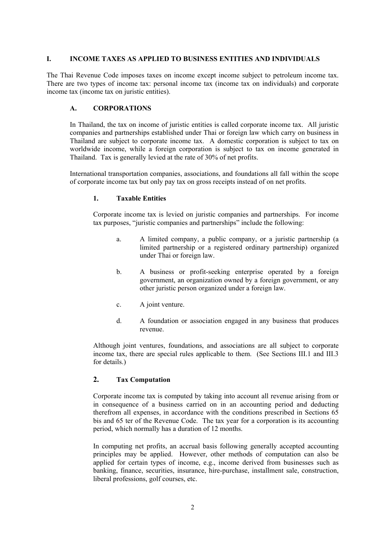#### **I. INCOME TAXES AS APPLIED TO BUSINESS ENTITIES AND INDIVIDUALS**

The Thai Revenue Code imposes taxes on income except income subject to petroleum income tax. There are two types of income tax: personal income tax (income tax on individuals) and corporate income tax (income tax on juristic entities).

# **A. CORPORATIONS**

In Thailand, the tax on income of juristic entities is called corporate income tax. All juristic companies and partnerships established under Thai or foreign law which carry on business in Thailand are subject to corporate income tax. A domestic corporation is subject to tax on worldwide income, while a foreign corporation is subject to tax on income generated in Thailand. Tax is generally levied at the rate of 30% of net profits.

International transportation companies, associations, and foundations all fall within the scope of corporate income tax but only pay tax on gross receipts instead of on net profits.

## **1. Taxable Entities**

Corporate income tax is levied on juristic companies and partnerships. For income tax purposes, "juristic companies and partnerships" include the following:

- a. A limited company, a public company, or a juristic partnership (a limited partnership or a registered ordinary partnership) organized under Thai or foreign law.
- b. A business or profit-seeking enterprise operated by a foreign government, an organization owned by a foreign government, or any other juristic person organized under a foreign law.
- c. A joint venture.
- d. A foundation or association engaged in any business that produces revenue.

 Although joint ventures, foundations, and associations are all subject to corporate income tax, there are special rules applicable to them. (See Sections III.1 and III.3 for details.)

# **2. Tax Computation**

Corporate income tax is computed by taking into account all revenue arising from or in consequence of a business carried on in an accounting period and deducting therefrom all expenses, in accordance with the conditions prescribed in Sections 65 bis and 65 ter of the Revenue Code. The tax year for a corporation is its accounting period, which normally has a duration of 12 months.

In computing net profits, an accrual basis following generally accepted accounting principles may be applied. However, other methods of computation can also be applied for certain types of income, e.g., income derived from businesses such as banking, finance, securities, insurance, hire-purchase, installment sale, construction, liberal professions, golf courses, etc.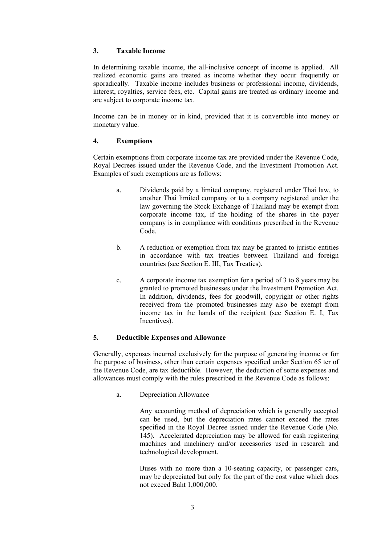### **3. Taxable Income**

In determining taxable income, the all-inclusive concept of income is applied. All realized economic gains are treated as income whether they occur frequently or sporadically. Taxable income includes business or professional income, dividends, interest, royalties, service fees, etc. Capital gains are treated as ordinary income and are subject to corporate income tax.

Income can be in money or in kind, provided that it is convertible into money or monetary value.

## **4. Exemptions**

Certain exemptions from corporate income tax are provided under the Revenue Code, Royal Decrees issued under the Revenue Code, and the Investment Promotion Act. Examples of such exemptions are as follows:

- a. Dividends paid by a limited company, registered under Thai law, to another Thai limited company or to a company registered under the law governing the Stock Exchange of Thailand may be exempt from corporate income tax, if the holding of the shares in the payer company is in compliance with conditions prescribed in the Revenue Code.
- b. A reduction or exemption from tax may be granted to juristic entities in accordance with tax treaties between Thailand and foreign countries (see Section E. III, Tax Treaties).
- c. A corporate income tax exemption for a period of 3 to 8 years may be granted to promoted businesses under the Investment Promotion Act. In addition, dividends, fees for goodwill, copyright or other rights received from the promoted businesses may also be exempt from income tax in the hands of the recipient (see Section E. I, Tax Incentives).

# **5. Deductible Expenses and Allowance**

Generally, expenses incurred exclusively for the purpose of generating income or for the purpose of business, other than certain expenses specified under Section 65 ter of the Revenue Code, are tax deductible. However, the deduction of some expenses and allowances must comply with the rules prescribed in the Revenue Code as follows:

a. Depreciation Allowance

Any accounting method of depreciation which is generally accepted can be used, but the depreciation rates cannot exceed the rates specified in the Royal Decree issued under the Revenue Code (No. 145). Accelerated depreciation may be allowed for cash registering machines and machinery and/or accessories used in research and technological development.

Buses with no more than a 10-seating capacity, or passenger cars, may be depreciated but only for the part of the cost value which does not exceed Baht 1,000,000.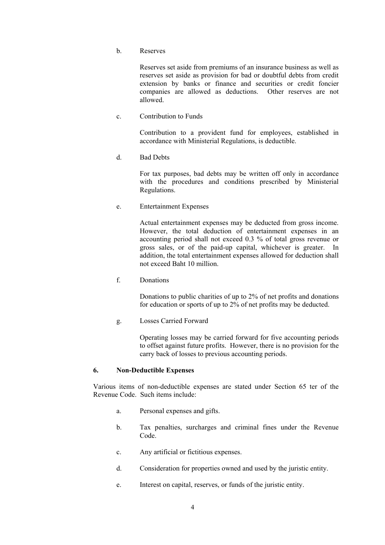b. Reserves

Reserves set aside from premiums of an insurance business as well as reserves set aside as provision for bad or doubtful debts from credit extension by banks or finance and securities or credit foncier companies are allowed as deductions. Other reserves are not allowed.

c. Contribution to Funds

Contribution to a provident fund for employees, established in accordance with Ministerial Regulations, is deductible.

d. Bad Debts

For tax purposes, bad debts may be written off only in accordance with the procedures and conditions prescribed by Ministerial Regulations.

e. Entertainment Expenses

Actual entertainment expenses may be deducted from gross income. However, the total deduction of entertainment expenses in an accounting period shall not exceed 0.3 % of total gross revenue or gross sales, or of the paid-up capital, whichever is greater. In addition, the total entertainment expenses allowed for deduction shall not exceed Baht 10 million.

f. Donations

Donations to public charities of up to 2% of net profits and donations for education or sports of up to 2% of net profits may be deducted.

g. Losses Carried Forward

Operating losses may be carried forward for five accounting periods to offset against future profits. However, there is no provision for the carry back of losses to previous accounting periods.

#### **6. Non-Deductible Expenses**

Various items of non-deductible expenses are stated under Section 65 ter of the Revenue Code. Such items include:

- a. Personal expenses and gifts.
- b. Tax penalties, surcharges and criminal fines under the Revenue Code<sup>1</sup>
- c. Any artificial or fictitious expenses.
- d. Consideration for properties owned and used by the juristic entity.
- e. Interest on capital, reserves, or funds of the juristic entity.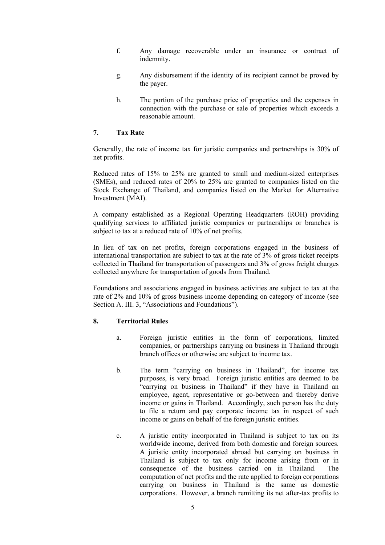- f. Any damage recoverable under an insurance or contract of indemnity.
- g. Any disbursement if the identity of its recipient cannot be proved by the payer.
- h. The portion of the purchase price of properties and the expenses in connection with the purchase or sale of properties which exceeds a reasonable amount.

#### **7. Tax Rate**

Generally, the rate of income tax for juristic companies and partnerships is 30% of net profits.

Reduced rates of 15% to 25% are granted to small and medium-sized enterprises (SMEs), and reduced rates of 20% to 25% are granted to companies listed on the Stock Exchange of Thailand, and companies listed on the Market for Alternative Investment (MAI).

A company established as a Regional Operating Headquarters (ROH) providing qualifying services to affiliated juristic companies or partnerships or branches is subject to tax at a reduced rate of 10% of net profits.

In lieu of tax on net profits, foreign corporations engaged in the business of international transportation are subject to tax at the rate of 3% of gross ticket receipts collected in Thailand for transportation of passengers and 3% of gross freight charges collected anywhere for transportation of goods from Thailand.

Foundations and associations engaged in business activities are subject to tax at the rate of 2% and 10% of gross business income depending on category of income (see Section A. III. 3, "Associations and Foundations").

#### **8. Territorial Rules**

- a. Foreign juristic entities in the form of corporations, limited companies, or partnerships carrying on business in Thailand through branch offices or otherwise are subject to income tax.
- b. The term "carrying on business in Thailand", for income tax purposes, is very broad. Foreign juristic entities are deemed to be "carrying on business in Thailand" if they have in Thailand an employee, agent, representative or go-between and thereby derive income or gains in Thailand. Accordingly, such person has the duty to file a return and pay corporate income tax in respect of such income or gains on behalf of the foreign juristic entities.
- c. A juristic entity incorporated in Thailand is subject to tax on its worldwide income, derived from both domestic and foreign sources. A juristic entity incorporated abroad but carrying on business in Thailand is subject to tax only for income arising from or in consequence of the business carried on in Thailand. The computation of net profits and the rate applied to foreign corporations carrying on business in Thailand is the same as domestic corporations. However, a branch remitting its net after-tax profits to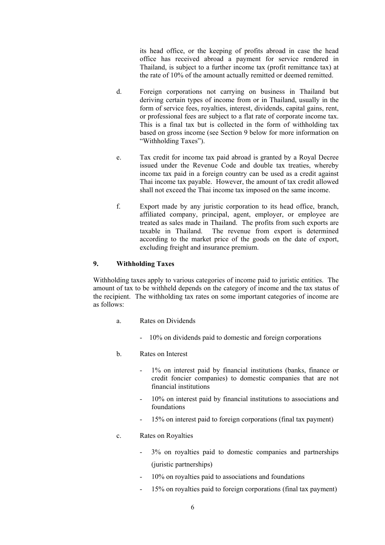its head office, or the keeping of profits abroad in case the head office has received abroad a payment for service rendered in Thailand, is subject to a further income tax (profit remittance tax) at the rate of 10% of the amount actually remitted or deemed remitted.

- d. Foreign corporations not carrying on business in Thailand but deriving certain types of income from or in Thailand, usually in the form of service fees, royalties, interest, dividends, capital gains, rent, or professional fees are subject to a flat rate of corporate income tax. This is a final tax but is collected in the form of withholding tax based on gross income (see Section 9 below for more information on "Withholding Taxes").
- e. Tax credit for income tax paid abroad is granted by a Royal Decree issued under the Revenue Code and double tax treaties, whereby income tax paid in a foreign country can be used as a credit against Thai income tax payable. However, the amount of tax credit allowed shall not exceed the Thai income tax imposed on the same income.
- f. Export made by any juristic corporation to its head office, branch, affiliated company, principal, agent, employer, or employee are treated as sales made in Thailand. The profits from such exports are taxable in Thailand. The revenue from export is determined according to the market price of the goods on the date of export, excluding freight and insurance premium.

#### **9. Withholding Taxes**

Withholding taxes apply to various categories of income paid to juristic entities. The amount of tax to be withheld depends on the category of income and the tax status of the recipient. The withholding tax rates on some important categories of income are as follows:

- a. Rates on Dividends
	- 10% on dividends paid to domestic and foreign corporations
- b. Rates on Interest
	- 1% on interest paid by financial institutions (banks, finance or credit foncier companies) to domestic companies that are not financial institutions
	- 10% on interest paid by financial institutions to associations and foundations
	- 15% on interest paid to foreign corporations (final tax payment)
- c. Rates on Royalties
	- 3% on royalties paid to domestic companies and partnerships (juristic partnerships)
	- 10% on royalties paid to associations and foundations
	- 15% on royalties paid to foreign corporations (final tax payment)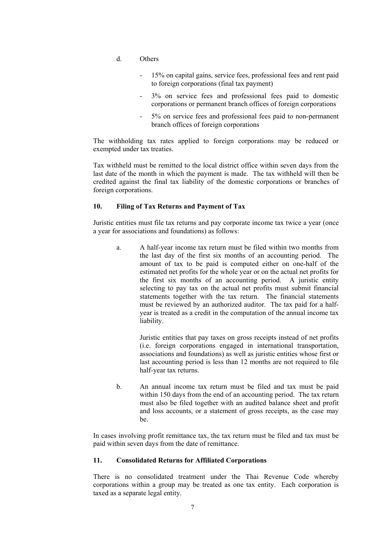- d. Others
	- 15% on capital gains, service fees, professional fees and rent paid to foreign corporations (final tax payment)
	- 3% on service fees and professional fees paid to domestic corporations or permanent branch offices of foreign corporations
	- 5% on service fees and professional fees paid to non-permanent branch offices of foreign corporations

The withholding tax rates applied to foreign corporations may be reduced or exempted under tax treaties.

Tax withheld must be remitted to the local district office within seven days from the last date of the month in which the payment is made. The tax withheld will then be credited against the final tax liability of the domestic corporations or branches of foreign corporations.

#### **10. Filing of Tax Returns and Payment of Tax**

Juristic entities must file tax returns and pay corporate income tax twice a year (once a year for associations and foundations) as follows:

a. A half-year income tax return must be filed within two months from the last day of the first six months of an accounting period. The amount of tax to be paid is computed either on one-half of the estimated net profits for the whole year or on the actual net profits for the first six months of an accounting period. A juristic entity selecting to pay tax on the actual net profits must submit financial statements together with the tax return. The financial statements must be reviewed by an authorized auditor. The tax paid for a halfyear is treated as a credit in the computation of the annual income tax liability.

> Juristic entities that pay taxes on gross receipts instead of net profits (i.e. foreign corporations engaged in international transportation, associations and foundations) as well as juristic entities whose first or last accounting period is less than 12 months are not required to file half-year tax returns.

b. An annual income tax return must be filed and tax must be paid within 150 days from the end of an accounting period. The tax return must also be filed together with an audited balance sheet and profit and loss accounts, or a statement of gross receipts, as the case may be.

In cases involving profit remittance tax, the tax return must be filed and tax must be paid within seven days from the date of remittance.

#### **11. Consolidated Returns for Affiliated Corporations**

There is no consolidated treatment under the Thai Revenue Code whereby corporations within a group may be treated as one tax entity. Each corporation is taxed as a separate legal entity.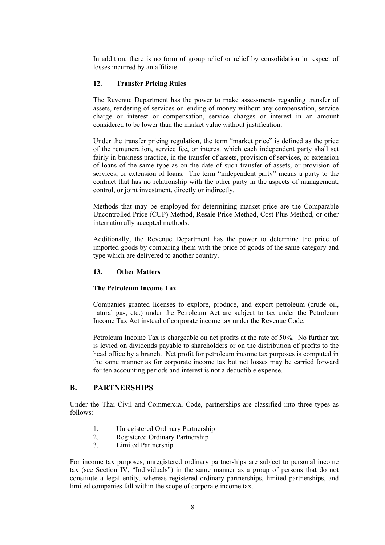In addition, there is no form of group relief or relief by consolidation in respect of losses incurred by an affiliate.

#### **12. Transfer Pricing Rules**

The Revenue Department has the power to make assessments regarding transfer of assets, rendering of services or lending of money without any compensation, service charge or interest or compensation, service charges or interest in an amount considered to be lower than the market value without justification.

Under the transfer pricing regulation, the term "market price" is defined as the price of the remuneration, service fee, or interest which each independent party shall set fairly in business practice, in the transfer of assets, provision of services, or extension of loans of the same type as on the date of such transfer of assets, or provision of services, or extension of loans. The term "independent party" means a party to the contract that has no relationship with the other party in the aspects of management, control, or joint investment, directly or indirectly.

Methods that may be employed for determining market price are the Comparable Uncontrolled Price (CUP) Method, Resale Price Method, Cost Plus Method, or other internationally accepted methods.

Additionally, the Revenue Department has the power to determine the price of imported goods by comparing them with the price of goods of the same category and type which are delivered to another country.

### **13. Other Matters**

#### **The Petroleum Income Tax**

Companies granted licenses to explore, produce, and export petroleum (crude oil, natural gas, etc.) under the Petroleum Act are subject to tax under the Petroleum Income Tax Act instead of corporate income tax under the Revenue Code.

Petroleum Income Tax is chargeable on net profits at the rate of 50%. No further tax is levied on dividends payable to shareholders or on the distribution of profits to the head office by a branch. Net profit for petroleum income tax purposes is computed in the same manner as for corporate income tax but net losses may be carried forward for ten accounting periods and interest is not a deductible expense.

## **B. PARTNERSHIPS**

Under the Thai Civil and Commercial Code, partnerships are classified into three types as follows:

- 1. Unregistered Ordinary Partnership
- 2. Registered Ordinary Partnership
- 3. Limited Partnership

For income tax purposes, unregistered ordinary partnerships are subject to personal income tax (see Section IV, "Individuals") in the same manner as a group of persons that do not constitute a legal entity, whereas registered ordinary partnerships, limited partnerships, and limited companies fall within the scope of corporate income tax.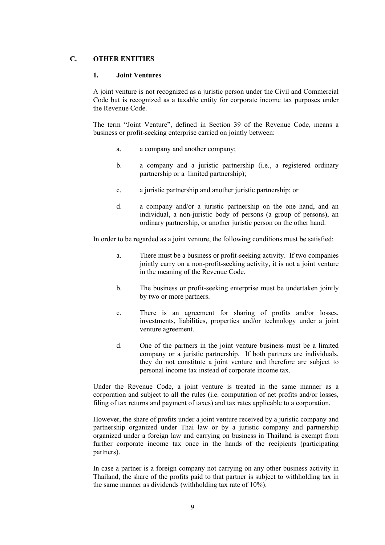## **C. OTHER ENTITIES**

#### **1. Joint Ventures**

A joint venture is not recognized as a juristic person under the Civil and Commercial Code but is recognized as a taxable entity for corporate income tax purposes under the Revenue Code.

The term "Joint Venture", defined in Section 39 of the Revenue Code, means a business or profit-seeking enterprise carried on jointly between:

- a. a company and another company;
- b. a company and a juristic partnership (i.e., a registered ordinary partnership or a limited partnership);
- c. a juristic partnership and another juristic partnership; or
- d. a company and/or a juristic partnership on the one hand, and an individual, a non-juristic body of persons (a group of persons), an ordinary partnership, or another juristic person on the other hand.

In order to be regarded as a joint venture, the following conditions must be satisfied:

- a. There must be a business or profit-seeking activity. If two companies jointly carry on a non-profit-seeking activity, it is not a joint venture in the meaning of the Revenue Code.
- b. The business or profit-seeking enterprise must be undertaken jointly by two or more partners.
- c. There is an agreement for sharing of profits and/or losses, investments, liabilities, properties and/or technology under a joint venture agreement.
- d. One of the partners in the joint venture business must be a limited company or a juristic partnership. If both partners are individuals, they do not constitute a joint venture and therefore are subject to personal income tax instead of corporate income tax.

Under the Revenue Code, a joint venture is treated in the same manner as a corporation and subject to all the rules (i.e. computation of net profits and/or losses, filing of tax returns and payment of taxes) and tax rates applicable to a corporation.

However, the share of profits under a joint venture received by a juristic company and partnership organized under Thai law or by a juristic company and partnership organized under a foreign law and carrying on business in Thailand is exempt from further corporate income tax once in the hands of the recipients (participating partners).

In case a partner is a foreign company not carrying on any other business activity in Thailand, the share of the profits paid to that partner is subject to withholding tax in the same manner as dividends (withholding tax rate of 10%).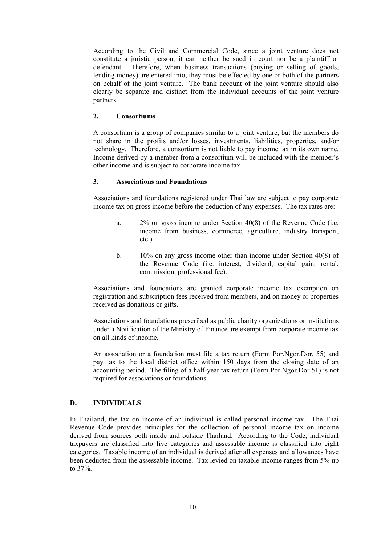According to the Civil and Commercial Code, since a joint venture does not constitute a juristic person, it can neither be sued in court nor be a plaintiff or defendant. Therefore, when business transactions (buying or selling of goods, lending money) are entered into, they must be effected by one or both of the partners on behalf of the joint venture. The bank account of the joint venture should also clearly be separate and distinct from the individual accounts of the joint venture partners.

### **2. Consortiums**

A consortium is a group of companies similar to a joint venture, but the members do not share in the profits and/or losses, investments, liabilities, properties, and/or technology. Therefore, a consortium is not liable to pay income tax in its own name. Income derived by a member from a consortium will be included with the member's other income and is subject to corporate income tax.

## **3. Associations and Foundations**

Associations and foundations registered under Thai law are subject to pay corporate income tax on gross income before the deduction of any expenses. The tax rates are:

- a. 2% on gross income under Section 40(8) of the Revenue Code (i.e. income from business, commerce, agriculture, industry transport, etc.).
- b. 10% on any gross income other than income under Section 40(8) of the Revenue Code (i.e. interest, dividend, capital gain, rental, commission, professional fee).

Associations and foundations are granted corporate income tax exemption on registration and subscription fees received from members, and on money or properties received as donations or gifts.

Associations and foundations prescribed as public charity organizations or institutions under a Notification of the Ministry of Finance are exempt from corporate income tax on all kinds of income.

An association or a foundation must file a tax return (Form Por.Ngor.Dor. 55) and pay tax to the local district office within 150 days from the closing date of an accounting period. The filing of a half-year tax return (Form Por.Ngor.Dor 51) is not required for associations or foundations.

# **D. INDIVIDUALS**

In Thailand, the tax on income of an individual is called personal income tax. The Thai Revenue Code provides principles for the collection of personal income tax on income derived from sources both inside and outside Thailand. According to the Code, individual taxpayers are classified into five categories and assessable income is classified into eight categories. Taxable income of an individual is derived after all expenses and allowances have been deducted from the assessable income. Tax levied on taxable income ranges from 5% up to 37%.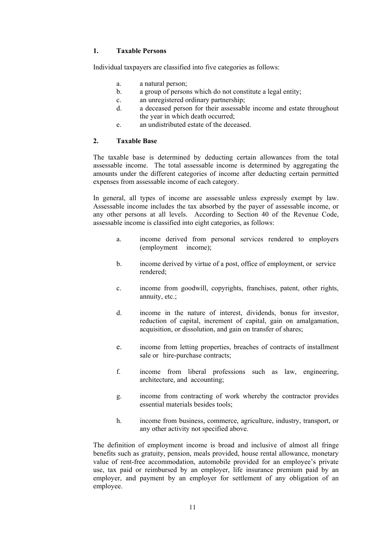### **1. Taxable Persons**

Individual taxpayers are classified into five categories as follows:

- a. a natural person;
- b. a group of persons which do not constitute a legal entity;
- c. an unregistered ordinary partnership;
- d. a deceased person for their assessable income and estate throughout the year in which death occurred;
- e. an undistributed estate of the deceased.

## **2. Taxable Base**

The taxable base is determined by deducting certain allowances from the total assessable income. The total assessable income is determined by aggregating the amounts under the different categories of income after deducting certain permitted expenses from assessable income of each category.

In general, all types of income are assessable unless expressly exempt by law. Assessable income includes the tax absorbed by the payer of assessable income, or any other persons at all levels. According to Section 40 of the Revenue Code, assessable income is classified into eight categories, as follows:

- a. income derived from personal services rendered to employers (employment income);
- b. income derived by virtue of a post, office of employment, or service rendered;
- c. income from goodwill, copyrights, franchises, patent, other rights, annuity, etc.;
- d. income in the nature of interest, dividends, bonus for investor, reduction of capital, increment of capital, gain on amalgamation, acquisition, or dissolution, and gain on transfer of shares;
- e. income from letting properties, breaches of contracts of installment sale or hire-purchase contracts;
- f. income from liberal professions such as law, engineering, architecture, and accounting;
- g. income from contracting of work whereby the contractor provides essential materials besides tools;
- h. income from business, commerce, agriculture, industry, transport, or any other activity not specified above.

The definition of employment income is broad and inclusive of almost all fringe benefits such as gratuity, pension, meals provided, house rental allowance, monetary value of rent-free accommodation, automobile provided for an employee's private use, tax paid or reimbursed by an employer, life insurance premium paid by an employer, and payment by an employer for settlement of any obligation of an employee.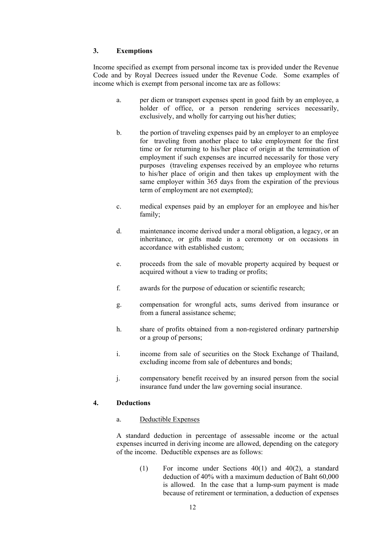### **3. Exemptions**

Income specified as exempt from personal income tax is provided under the Revenue Code and by Royal Decrees issued under the Revenue Code. Some examples of income which is exempt from personal income tax are as follows:

- a. per diem or transport expenses spent in good faith by an employee, a holder of office, or a person rendering services necessarily, exclusively, and wholly for carrying out his/her duties;
- b. the portion of traveling expenses paid by an employer to an employee for traveling from another place to take employment for the first time or for returning to his/her place of origin at the termination of employment if such expenses are incurred necessarily for those very purposes (traveling expenses received by an employee who returns to his/her place of origin and then takes up employment with the same employer within 365 days from the expiration of the previous term of employment are not exempted);
- c. medical expenses paid by an employer for an employee and his/her family;
- d. maintenance income derived under a moral obligation, a legacy, or an inheritance, or gifts made in a ceremony or on occasions in accordance with established custom;
- e. proceeds from the sale of movable property acquired by bequest or acquired without a view to trading or profits;
- f. awards for the purpose of education or scientific research;
- g. compensation for wrongful acts, sums derived from insurance or from a funeral assistance scheme;
- h. share of profits obtained from a non-registered ordinary partnership or a group of persons;
- i. income from sale of securities on the Stock Exchange of Thailand, excluding income from sale of debentures and bonds;
- j. compensatory benefit received by an insured person from the social insurance fund under the law governing social insurance.

#### **4. Deductions**

a. Deductible Expenses

A standard deduction in percentage of assessable income or the actual expenses incurred in deriving income are allowed, depending on the category of the income. Deductible expenses are as follows:

> (1) For income under Sections 40(1) and 40(2), a standard deduction of 40% with a maximum deduction of Baht 60,000 is allowed. In the case that a lump-sum payment is made because of retirement or termination, a deduction of expenses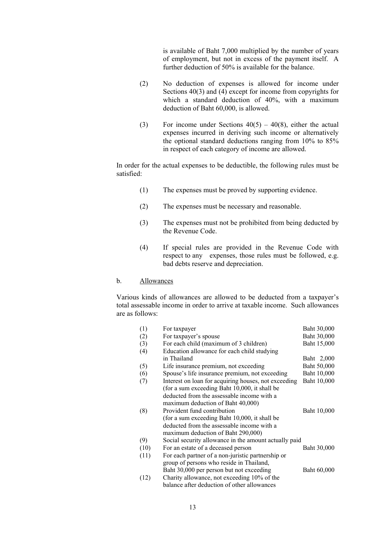is available of Baht 7,000 multiplied by the number of years of employment, but not in excess of the payment itself. A further deduction of 50% is available for the balance.

- (2) No deduction of expenses is allowed for income under Sections  $40(3)$  and  $(4)$  except for income from copyrights for which a standard deduction of 40%, with a maximum deduction of Baht 60,000, is allowed.
- (3) For income under Sections  $40(5) 40(8)$ , either the actual expenses incurred in deriving such income or alternatively the optional standard deductions ranging from 10% to 85% in respect of each category of income are allowed.

In order for the actual expenses to be deductible, the following rules must be satisfied:

- (1) The expenses must be proved by supporting evidence.
- (2) The expenses must be necessary and reasonable.
- (3) The expenses must not be prohibited from being deducted by the Revenue Code.
- (4) If special rules are provided in the Revenue Code with respect to any expenses, those rules must be followed, e.g. bad debts reserve and depreciation.

#### b. Allowances

Various kinds of allowances are allowed to be deducted from a taxpayer's total assessable income in order to arrive at taxable income. Such allowances are as follows:

| (1)  | For taxpayer                                          | Baht 30,000 |
|------|-------------------------------------------------------|-------------|
| (2)  | For taxpayer's spouse                                 | Baht 30,000 |
| (3)  | For each child (maximum of 3 children)                | Baht 15,000 |
| (4)  | Education allowance for each child studying           |             |
|      | in Thailand                                           | Baht 2,000  |
| (5)  | Life insurance premium, not exceeding                 | Baht 50,000 |
| (6)  | Spouse's life insurance premium, not exceeding        | Baht 10,000 |
| (7)  | Interest on loan for acquiring houses, not exceeding  | Baht 10,000 |
|      | (for a sum exceeding Baht 10,000, it shall be         |             |
|      | deducted from the assessable income with a            |             |
|      | maximum deduction of Baht 40,000)                     |             |
| (8)  | Provident fund contribution                           | Baht 10,000 |
|      | (for a sum exceeding Baht 10,000, it shall be         |             |
|      | deducted from the assessable income with a            |             |
|      | maximum deduction of Baht 290,000)                    |             |
| (9)  | Social security allowance in the amount actually paid |             |
| (10) | For an estate of a deceased person                    | Baht 30,000 |
| (11) | For each partner of a non-juristic partnership or     |             |
|      | group of persons who reside in Thailand,              |             |
|      | Baht 30,000 per person but not exceeding              | Baht 60,000 |
| (12) | Charity allowance, not exceeding 10% of the           |             |
|      | balance after deduction of other allowances           |             |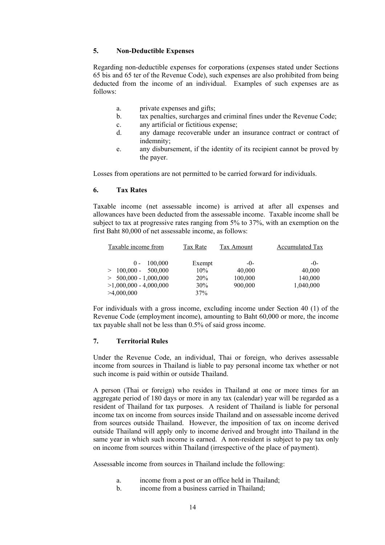#### **5. Non-Deductible Expenses**

Regarding non-deductible expenses for corporations (expenses stated under Sections 65 bis and 65 ter of the Revenue Code), such expenses are also prohibited from being deducted from the income of an individual. Examples of such expenses are as follows:

- a. private expenses and gifts;
- b. tax penalties, surcharges and criminal fines under the Revenue Code;
- c. any artificial or fictitious expense;
- d. any damage recoverable under an insurance contract or contract of indemnity;
- e. any disbursement, if the identity of its recipient cannot be proved by the payer.

Losses from operations are not permitted to be carried forward for individuals.

### **6. Tax Rates**

Taxable income (net assessable income) is arrived at after all expenses and allowances have been deducted from the assessable income. Taxable income shall be subject to tax at progressive rates ranging from 5% to 37%, with an exemption on the first Baht 80,000 of net assessable income, as follows:

| Taxable income from      | Tax Rate   | Tax Amount | Accumulated Tax |
|--------------------------|------------|------------|-----------------|
| 100,000<br>$(1 -$        | Exempt     | -()-       | -0-             |
| $>100.000$ -<br>500,000  | $10\%$     | 40,000     | 40,000          |
| $> 500,000 - 1,000,000$  | <b>20%</b> | 100,000    | 140,000         |
| $>1,000,000 - 4,000,000$ | 30%        | 900,000    | 1,040,000       |
| >4,000,000               | 37%        |            |                 |

For individuals with a gross income, excluding income under Section 40 (1) of the Revenue Code (employment income), amounting to Baht 60,000 or more, the income tax payable shall not be less than 0.5% of said gross income.

## **7. Territorial Rules**

Under the Revenue Code, an individual, Thai or foreign, who derives assessable income from sources in Thailand is liable to pay personal income tax whether or not such income is paid within or outside Thailand.

A person (Thai or foreign) who resides in Thailand at one or more times for an aggregate period of 180 days or more in any tax (calendar) year will be regarded as a resident of Thailand for tax purposes. A resident of Thailand is liable for personal income tax on income from sources inside Thailand and on assessable income derived from sources outside Thailand. However, the imposition of tax on income derived outside Thailand will apply only to income derived and brought into Thailand in the same year in which such income is earned. A non-resident is subject to pay tax only on income from sources within Thailand (irrespective of the place of payment).

Assessable income from sources in Thailand include the following:

- a. income from a post or an office held in Thailand;
- b. income from a business carried in Thailand;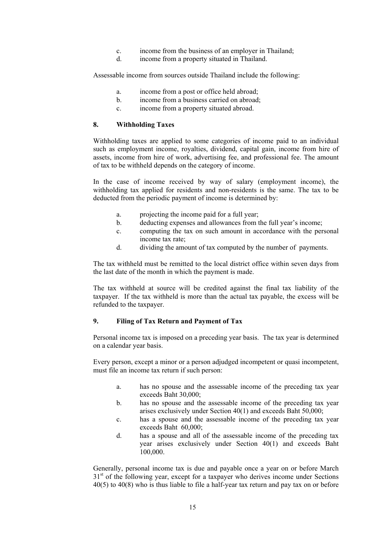- c. income from the business of an employer in Thailand;
- d. income from a property situated in Thailand.

Assessable income from sources outside Thailand include the following:

- a. income from a post or office held abroad;
- b. income from a business carried on abroad;
- c. income from a property situated abroad.

#### **8. Withholding Taxes**

Withholding taxes are applied to some categories of income paid to an individual such as employment income, royalties, dividend, capital gain, income from hire of assets, income from hire of work, advertising fee, and professional fee. The amount of tax to be withheld depends on the category of income.

In the case of income received by way of salary (employment income), the withholding tax applied for residents and non-residents is the same. The tax to be deducted from the periodic payment of income is determined by:

- a. projecting the income paid for a full year;
- b. deducting expenses and allowances from the full year's income;
- c. computing the tax on such amount in accordance with the personal income tax rate;
- d. dividing the amount of tax computed by the number of payments.

The tax withheld must be remitted to the local district office within seven days from the last date of the month in which the payment is made.

The tax withheld at source will be credited against the final tax liability of the taxpayer. If the tax withheld is more than the actual tax payable, the excess will be refunded to the taxpayer.

#### **9. Filing of Tax Return and Payment of Tax**

Personal income tax is imposed on a preceding year basis. The tax year is determined on a calendar year basis.

Every person, except a minor or a person adjudged incompetent or quasi incompetent, must file an income tax return if such person:

- a. has no spouse and the assessable income of the preceding tax year exceeds Baht 30,000;
- b. has no spouse and the assessable income of the preceding tax year arises exclusively under Section 40(1) and exceeds Baht 50,000;
- c. has a spouse and the assessable income of the preceding tax year exceeds Baht 60,000;
- d. has a spouse and all of the assessable income of the preceding tax year arises exclusively under Section 40(1) and exceeds Baht 100,000.

Generally, personal income tax is due and payable once a year on or before March  $31<sup>st</sup>$  of the following year, except for a taxpayer who derives income under Sections 40(5) to 40(8) who is thus liable to file a half-year tax return and pay tax on or before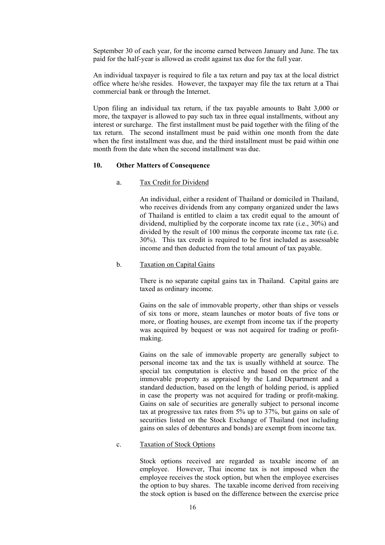September 30 of each year, for the income earned between January and June. The tax paid for the half-year is allowed as credit against tax due for the full year.

An individual taxpayer is required to file a tax return and pay tax at the local district office where he/she resides. However, the taxpayer may file the tax return at a Thai commercial bank or through the Internet.

Upon filing an individual tax return, if the tax payable amounts to Baht 3,000 or more, the taxpayer is allowed to pay such tax in three equal installments, without any interest or surcharge. The first installment must be paid together with the filing of the tax return. The second installment must be paid within one month from the date when the first installment was due, and the third installment must be paid within one month from the date when the second installment was due.

#### **10. Other Matters of Consequence**

#### a. Tax Credit for Dividend

An individual, either a resident of Thailand or domiciled in Thailand, who receives dividends from any company organized under the laws of Thailand is entitled to claim a tax credit equal to the amount of dividend, multiplied by the corporate income tax rate (i.e., 30%) and divided by the result of 100 minus the corporate income tax rate (i.e. 30%). This tax credit is required to be first included as assessable income and then deducted from the total amount of tax payable.

#### b. Taxation on Capital Gains

There is no separate capital gains tax in Thailand. Capital gains are taxed as ordinary income.

Gains on the sale of immovable property, other than ships or vessels of six tons or more, steam launches or motor boats of five tons or more, or floating houses, are exempt from income tax if the property was acquired by bequest or was not acquired for trading or profitmaking.

Gains on the sale of immovable property are generally subject to personal income tax and the tax is usually withheld at source. The special tax computation is elective and based on the price of the immovable property as appraised by the Land Department and a standard deduction, based on the length of holding period, is applied in case the property was not acquired for trading or profit-making. Gains on sale of securities are generally subject to personal income tax at progressive tax rates from 5% up to 37%, but gains on sale of securities listed on the Stock Exchange of Thailand (not including gains on sales of debentures and bonds) are exempt from income tax.

#### c. Taxation of Stock Options

Stock options received are regarded as taxable income of an employee. However, Thai income tax is not imposed when the employee receives the stock option, but when the employee exercises the option to buy shares. The taxable income derived from receiving the stock option is based on the difference between the exercise price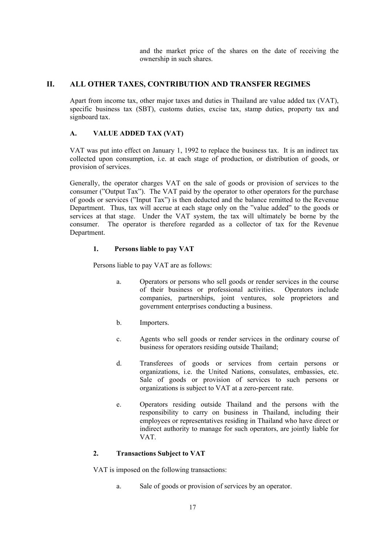and the market price of the shares on the date of receiving the ownership in such shares.

# **II. ALL OTHER TAXES, CONTRIBUTION AND TRANSFER REGIMES**

Apart from income tax, other major taxes and duties in Thailand are value added tax (VAT), specific business tax (SBT), customs duties, excise tax, stamp duties, property tax and signboard tax.

# **A. VALUE ADDED TAX (VAT)**

VAT was put into effect on January 1, 1992 to replace the business tax. It is an indirect tax collected upon consumption, i.e. at each stage of production, or distribution of goods, or provision of services.

Generally, the operator charges VAT on the sale of goods or provision of services to the consumer ("Output Tax"). The VAT paid by the operator to other operators for the purchase of goods or services ("Input Tax") is then deducted and the balance remitted to the Revenue Department. Thus, tax will accrue at each stage only on the "value added" to the goods or services at that stage. Under the VAT system, the tax will ultimately be borne by the consumer. The operator is therefore regarded as a collector of tax for the Revenue Department.

# **1. Persons liable to pay VAT**

Persons liable to pay VAT are as follows:

- a. Operators or persons who sell goods or render services in the course of their business or professional activities. Operators include companies, partnerships, joint ventures, sole proprietors and government enterprises conducting a business.
- b. Importers.
- c. Agents who sell goods or render services in the ordinary course of business for operators residing outside Thailand;
- d. Transferees of goods or services from certain persons or organizations, i.e. the United Nations, consulates, embassies, etc. Sale of goods or provision of services to such persons or organizations is subject to VAT at a zero-percent rate.
- e. Operators residing outside Thailand and the persons with the responsibility to carry on business in Thailand, including their employees or representatives residing in Thailand who have direct or indirect authority to manage for such operators, are jointly liable for VAT.

# **2. Transactions Subject to VAT**

VAT is imposed on the following transactions:

a. Sale of goods or provision of services by an operator.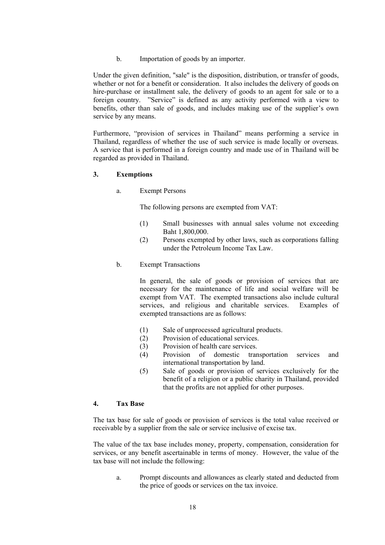b. Importation of goods by an importer.

 Under the given definition, "sale" is the disposition, distribution, or transfer of goods, whether or not for a benefit or consideration. It also includes the delivery of goods on hire-purchase or installment sale, the delivery of goods to an agent for sale or to a foreign country. "Service" is defined as any activity performed with a view to benefits, other than sale of goods, and includes making use of the supplier's own service by any means.

Furthermore, "provision of services in Thailand" means performing a service in Thailand, regardless of whether the use of such service is made locally or overseas. A service that is performed in a foreign country and made use of in Thailand will be regarded as provided in Thailand.

### **3. Exemptions**

a. Exempt Persons

The following persons are exempted from VAT:

- (1) Small businesses with annual sales volume not exceeding Baht 1,800,000.
- (2) Persons exempted by other laws, such as corporations falling under the Petroleum Income Tax Law.
- b. Exempt Transactions

In general, the sale of goods or provision of services that are necessary for the maintenance of life and social welfare will be exempt from VAT. The exempted transactions also include cultural services, and religious and charitable services. Examples of exempted transactions are as follows:

- (1) Sale of unprocessed agricultural products.
- (2) Provision of educational services.
- (3) Provision of health care services.
- (4) Provision of domestic transportation services and international transportation by land.
- (5) Sale of goods or provision of services exclusively for the benefit of a religion or a public charity in Thailand, provided that the profits are not applied for other purposes.

### **4. Tax Base**

The tax base for sale of goods or provision of services is the total value received or receivable by a supplier from the sale or service inclusive of excise tax.

The value of the tax base includes money, property, compensation, consideration for services, or any benefit ascertainable in terms of money. However, the value of the tax base will not include the following:

a. Prompt discounts and allowances as clearly stated and deducted from the price of goods or services on the tax invoice.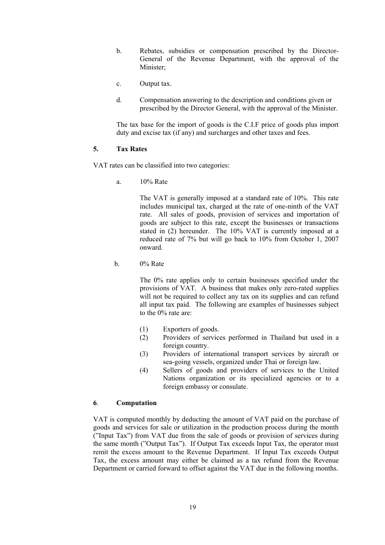- b. Rebates, subsidies or compensation prescribed by the Director-General of the Revenue Department, with the approval of the Minister;
- c. Output tax.
- d. Compensation answering to the description and conditions given or prescribed by the Director General, with the approval of the Minister.

The tax base for the import of goods is the C.I.F price of goods plus import duty and excise tax (if any) and surcharges and other taxes and fees.

#### **5. Tax Rates**

VAT rates can be classified into two categories:

a. 10% Rate

The VAT is generally imposed at a standard rate of 10%. This rate includes municipal tax, charged at the rate of one-ninth of the VAT rate. All sales of goods, provision of services and importation of goods are subject to this rate, except the businesses or transactions stated in (2) hereunder. The 10% VAT is currently imposed at a reduced rate of 7% but will go back to 10% from October 1, 2007 onward.

b.  $0\%$  Rate

The 0% rate applies only to certain businesses specified under the provisions of VAT. A business that makes only zero-rated supplies will not be required to collect any tax on its supplies and can refund all input tax paid. The following are examples of businesses subject to the 0% rate are:

- (1) Exporters of goods.
- (2) Providers of services performed in Thailand but used in a foreign country.
- (3) Providers of international transport services by aircraft or sea-going vessels, organized under Thai or foreign law.
- (4) Sellers of goods and providers of services to the United Nations organization or its specialized agencies or to a foreign embassy or consulate.

#### **6**. **Computation**

VAT is computed monthly by deducting the amount of VAT paid on the purchase of goods and services for sale or utilization in the production process during the month ("Input Tax") from VAT due from the sale of goods or provision of services during the same month ("Output Tax"). If Output Tax exceeds Input Tax, the operator must remit the excess amount to the Revenue Department. If Input Tax exceeds Output Tax, the excess amount may either be claimed as a tax refund from the Revenue Department or carried forward to offset against the VAT due in the following months.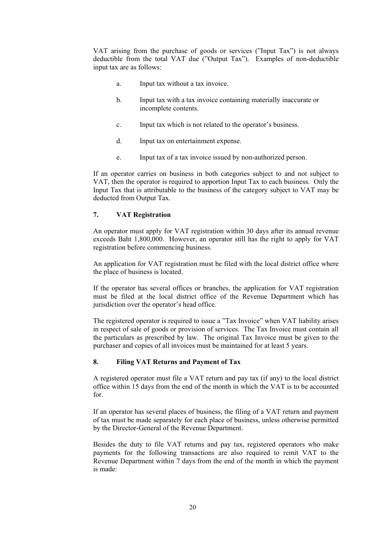VAT arising from the purchase of goods or services ("Input Tax") is not always deductible from the total VAT due ("Output Tax"). Examples of non-deductible input tax are as follows:

- a. Input tax without a tax invoice.
- b. Input tax with a tax invoice containing materially inaccurate or incomplete contents.
- c. Input tax which is not related to the operator's business.
- d. Input tax on entertainment expense.
- e. Input tax of a tax invoice issued by non-authorized person.

If an operator carries on business in both categories subject to and not subject to VAT, then the operator is required to apportion Input Tax to each business. Only the Input Tax that is attributable to the business of the category subject to VAT may be deducted from Output Tax.

## **7. VAT Registration**

An operator must apply for VAT registration within 30 days after its annual revenue exceeds Baht 1,800,000. However, an operator still has the right to apply for VAT registration before commencing business.

An application for VAT registration must be filed with the local district office where the place of business is located.

If the operator has several offices or branches, the application for VAT registration must be filed at the local district office of the Revenue Department which has jurisdiction over the operator's head office.

The registered operator is required to issue a "Tax Invoice" when VAT liability arises in respect of sale of goods or provision of services. The Tax Invoice must contain all the particulars as prescribed by law. The original Tax Invoice must be given to the purchaser and copies of all invoices must be maintained for at least 5 years.

# **8. Filing VAT Returns and Payment of Tax**

A registered operator must file a VAT return and pay tax (if any) to the local district office within 15 days from the end of the month in which the VAT is to be accounted for.

If an operator has several places of business, the filing of a VAT return and payment of tax must be made separately for each place of business, unless otherwise permitted by the Director-General of the Revenue Department.

Besides the duty to file VAT returns and pay tax, registered operators who make payments for the following transactions are also required to remit VAT to the Revenue Department within 7 days from the end of the month in which the payment is made: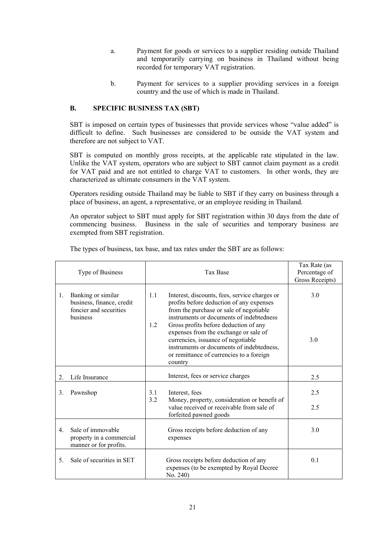- a. Payment for goods or services to a supplier residing outside Thailand and temporarily carrying on business in Thailand without being recorded for temporary VAT registration.
- b. Payment for services to a supplier providing services in a foreign country and the use of which is made in Thailand.

## **B. SPECIFIC BUSINESS TAX (SBT)**

SBT is imposed on certain types of businesses that provide services whose "value added" is difficult to define. Such businesses are considered to be outside the VAT system and therefore are not subject to VAT.

SBT is computed on monthly gross receipts, at the applicable rate stipulated in the law. Unlike the VAT system, operators who are subject to SBT cannot claim payment as a credit for VAT paid and are not entitled to charge VAT to customers. In other words, they are characterized as ultimate consumers in the VAT system.

Operators residing outside Thailand may be liable to SBT if they carry on business through a place of business, an agent, a representative, or an employee residing in Thailand.

An operator subject to SBT must apply for SBT registration within 30 days from the date of commencing business. Business in the sale of securities and temporary business are exempted from SBT registration.

| Type of Business |                                                                           | <b>Tax Base</b> |                                                                                                                                                                                                                                                                      | Tax Rate (as<br>Percentage of |
|------------------|---------------------------------------------------------------------------|-----------------|----------------------------------------------------------------------------------------------------------------------------------------------------------------------------------------------------------------------------------------------------------------------|-------------------------------|
|                  |                                                                           |                 |                                                                                                                                                                                                                                                                      | Gross Receipts)               |
| 1.               | Banking or similar<br>business, finance, credit<br>foncier and securities | 1.1             | Interest, discounts, fees, service charges or<br>profits before deduction of any expenses<br>from the purchase or sale of negotiable                                                                                                                                 | 3.0                           |
|                  | business                                                                  | 1.2             | instruments or documents of indebtedness<br>Gross profits before deduction of any<br>expenses from the exchange or sale of<br>currencies, issuance of negotiable<br>instruments or documents of indebtedness,<br>or remittance of currencies to a foreign<br>country | 3.0                           |
| 2.               | Life Insurance                                                            |                 | Interest, fees or service charges                                                                                                                                                                                                                                    | 2.5                           |
| 3.               | Pawnshop                                                                  | 3.1<br>3.2      | Interest, fees<br>Money, property, consideration or benefit of                                                                                                                                                                                                       | 2.5                           |
|                  |                                                                           |                 | value received or receivable from sale of<br>forfeited pawned goods                                                                                                                                                                                                  | 2.5                           |
| $\overline{4}$   | Sale of immovable<br>property in a commercial<br>manner or for profits.   |                 | Gross receipts before deduction of any<br>expenses                                                                                                                                                                                                                   | 3.0                           |
| 5.               | Sale of securities in SET                                                 |                 | Gross receipts before deduction of any<br>expenses (to be exempted by Royal Decree<br>No. 240)                                                                                                                                                                       | 0.1                           |

The types of business, tax base, and tax rates under the SBT are as follows: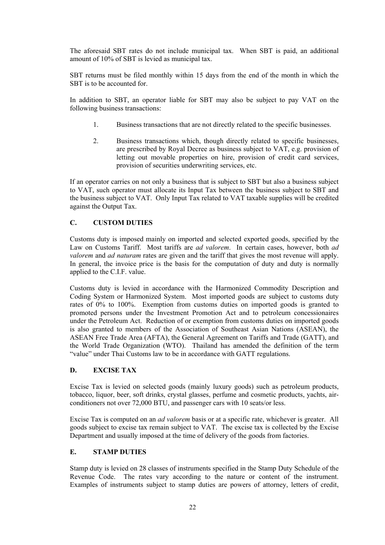The aforesaid SBT rates do not include municipal tax. When SBT is paid, an additional amount of 10% of SBT is levied as municipal tax.

SBT returns must be filed monthly within 15 days from the end of the month in which the SBT is to be accounted for.

In addition to SBT, an operator liable for SBT may also be subject to pay VAT on the following business transactions:

- 1. Business transactions that are not directly related to the specific businesses.
- 2. Business transactions which, though directly related to specific businesses, are prescribed by Royal Decree as business subject to VAT, e.g. provision of letting out movable properties on hire, provision of credit card services, provision of securities underwriting services, etc.

If an operator carries on not only a business that is subject to SBT but also a business subject to VAT, such operator must allocate its Input Tax between the business subject to SBT and the business subject to VAT. Only Input Tax related to VAT taxable supplies will be credited against the Output Tax.

# **C. CUSTOM DUTIES**

Customs duty is imposed mainly on imported and selected exported goods, specified by the Law on Customs Tariff. Most tariffs are *ad valorem*. In certain cases, however, both *ad valorem* and *ad naturam* rates are given and the tariff that gives the most revenue will apply. In general, the invoice price is the basis for the computation of duty and duty is normally applied to the C.I.F. value.

Customs duty is levied in accordance with the Harmonized Commodity Description and Coding System or Harmonized System. Most imported goods are subject to customs duty rates of 0% to 100%. Exemption from customs duties on imported goods is granted to promoted persons under the Investment Promotion Act and to petroleum concessionaires under the Petroleum Act. Reduction of or exemption from customs duties on imported goods is also granted to members of the Association of Southeast Asian Nations (ASEAN), the ASEAN Free Trade Area (AFTA), the General Agreement on Tariffs and Trade (GATT), and the World Trade Organization (WTO). Thailand has amended the definition of the term "value" under Thai Customs law to be in accordance with GATT regulations.

#### **D. EXCISE TAX**

Excise Tax is levied on selected goods (mainly luxury goods) such as petroleum products, tobacco, liquor, beer, soft drinks, crystal glasses, perfume and cosmetic products, yachts, airconditioners not over 72,000 BTU, and passenger cars with 10 seats/or less.

Excise Tax is computed on an *ad valorem* basis or at a specific rate, whichever is greater. All goods subject to excise tax remain subject to VAT. The excise tax is collected by the Excise Department and usually imposed at the time of delivery of the goods from factories.

#### **E. STAMP DUTIES**

Stamp duty is levied on 28 classes of instruments specified in the Stamp Duty Schedule of the Revenue Code. The rates vary according to the nature or content of the instrument. Examples of instruments subject to stamp duties are powers of attorney, letters of credit,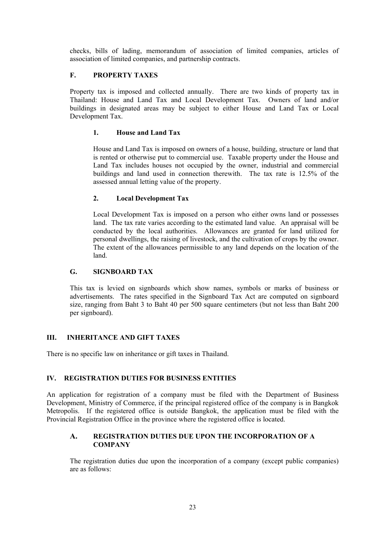checks, bills of lading, memorandum of association of limited companies, articles of association of limited companies, and partnership contracts.

# **F. PROPERTY TAXES**

Property tax is imposed and collected annually. There are two kinds of property tax in Thailand: House and Land Tax and Local Development Tax. Owners of land and/or buildings in designated areas may be subject to either House and Land Tax or Local Development Tax.

## **1. House and Land Tax**

House and Land Tax is imposed on owners of a house, building, structure or land that is rented or otherwise put to commercial use. Taxable property under the House and Land Tax includes houses not occupied by the owner, industrial and commercial buildings and land used in connection therewith. The tax rate is 12.5% of the assessed annual letting value of the property.

## **2. Local Development Tax**

Local Development Tax is imposed on a person who either owns land or possesses land. The tax rate varies according to the estimated land value. An appraisal will be conducted by the local authorities. Allowances are granted for land utilized for personal dwellings, the raising of livestock, and the cultivation of crops by the owner. The extent of the allowances permissible to any land depends on the location of the land.

## **G. SIGNBOARD TAX**

This tax is levied on signboards which show names, symbols or marks of business or advertisements. The rates specified in the Signboard Tax Act are computed on signboard size, ranging from Baht 3 to Baht 40 per 500 square centimeters (but not less than Baht 200 per signboard).

#### **III. INHERITANCE AND GIFT TAXES**

There is no specific law on inheritance or gift taxes in Thailand.

#### **IV. REGISTRATION DUTIES FOR BUSINESS ENTITIES**

An application for registration of a company must be filed with the Department of Business Development, Ministry of Commerce, if the principal registered office of the company is in Bangkok Metropolis. If the registered office is outside Bangkok, the application must be filed with the Provincial Registration Office in the province where the registered office is located.

#### **A. REGISTRATION DUTIES DUE UPON THE INCORPORATION OF A COMPANY**

The registration duties due upon the incorporation of a company (except public companies) are as follows: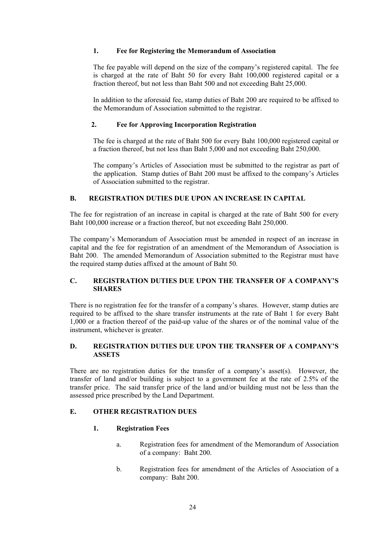## **1. Fee for Registering the Memorandum of Association**

The fee payable will depend on the size of the company's registered capital. The fee is charged at the rate of Baht 50 for every Baht 100,000 registered capital or a fraction thereof, but not less than Baht 500 and not exceeding Baht 25,000.

In addition to the aforesaid fee, stamp duties of Baht 200 are required to be affixed to the Memorandum of Association submitted to the registrar.

## **2. Fee for Approving Incorporation Registration**

The fee is charged at the rate of Baht 500 for every Baht 100,000 registered capital or a fraction thereof, but not less than Baht 5,000 and not exceeding Baht 250,000.

The company's Articles of Association must be submitted to the registrar as part of the application. Stamp duties of Baht 200 must be affixed to the company's Articles of Association submitted to the registrar.

## **B. REGISTRATION DUTIES DUE UPON AN INCREASE IN CAPITAL**

The fee for registration of an increase in capital is charged at the rate of Baht 500 for every Baht 100,000 increase or a fraction thereof, but not exceeding Baht 250,000.

The company's Memorandum of Association must be amended in respect of an increase in capital and the fee for registration of an amendment of the Memorandum of Association is Baht 200. The amended Memorandum of Association submitted to the Registrar must have the required stamp duties affixed at the amount of Baht 50.

### **C. REGISTRATION DUTIES DUE UPON THE TRANSFER OF A COMPANY'S SHARES**

There is no registration fee for the transfer of a company's shares. However, stamp duties are required to be affixed to the share transfer instruments at the rate of Baht 1 for every Baht 1,000 or a fraction thereof of the paid-up value of the shares or of the nominal value of the instrument, whichever is greater.

#### **D. REGISTRATION DUTIES DUE UPON THE TRANSFER OF A COMPANY'S ASSETS**

There are no registration duties for the transfer of a company's asset(s). However, the transfer of land and/or building is subject to a government fee at the rate of 2.5% of the transfer price. The said transfer price of the land and/or building must not be less than the assessed price prescribed by the Land Department.

#### **E. OTHER REGISTRATION DUES**

#### **1. Registration Fees**

- a. Registration fees for amendment of the Memorandum of Association of a company: Baht 200.
- b. Registration fees for amendment of the Articles of Association of a company: Baht 200.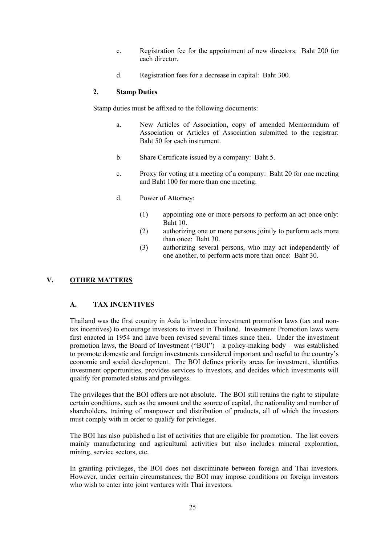- c. Registration fee for the appointment of new directors: Baht 200 for each director.
- d. Registration fees for a decrease in capital: Baht 300.

## **2. Stamp Duties**

Stamp duties must be affixed to the following documents:

- a. New Articles of Association, copy of amended Memorandum of Association or Articles of Association submitted to the registrar: Baht 50 for each instrument.
- b. Share Certificate issued by a company: Baht 5.
- c. Proxy for voting at a meeting of a company: Baht 20 for one meeting and Baht 100 for more than one meeting.
- d. Power of Attorney:
	- (1) appointing one or more persons to perform an act once only: Baht 10.
	- (2) authorizing one or more persons jointly to perform acts more than once: Baht 30.
	- (3) authorizing several persons, who may act independently of one another, to perform acts more than once: Baht 30.

# **V. OTHER MATTERS**

# **A. TAX INCENTIVES**

Thailand was the first country in Asia to introduce investment promotion laws (tax and nontax incentives) to encourage investors to invest in Thailand. Investment Promotion laws were first enacted in 1954 and have been revised several times since then. Under the investment promotion laws, the Board of Investment ("BOI") – a policy-making body – was established to promote domestic and foreign investments considered important and useful to the country's economic and social development. The BOI defines priority areas for investment, identifies investment opportunities, provides services to investors, and decides which investments will qualify for promoted status and privileges.

The privileges that the BOI offers are not absolute. The BOI still retains the right to stipulate certain conditions, such as the amount and the source of capital, the nationality and number of shareholders, training of manpower and distribution of products, all of which the investors must comply with in order to qualify for privileges.

The BOI has also published a list of activities that are eligible for promotion. The list covers mainly manufacturing and agricultural activities but also includes mineral exploration, mining, service sectors, etc.

In granting privileges, the BOI does not discriminate between foreign and Thai investors. However, under certain circumstances, the BOI may impose conditions on foreign investors who wish to enter into joint ventures with Thai investors.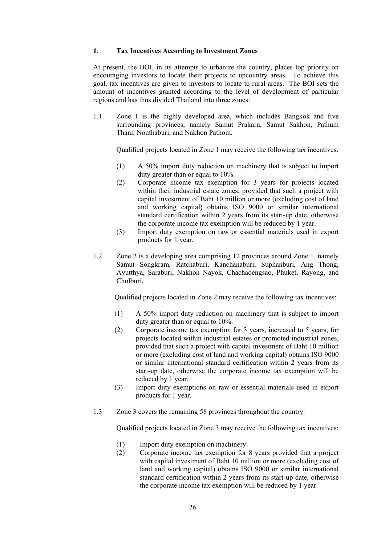#### **1. Tax Incentives According to Investment Zones**

At present, the BOI, in its attempts to urbanize the country, places top priority on encouraging investors to locate their projects to upcountry areas. To achieve this goal, tax incentives are given to investors to locate to rural areas. The BOI sets the amount of incentives granted according to the level of development of particular regions and has thus divided Thailand into three zones:

1.1 Zone 1 is the highly developed area, which includes Bangkok and five surrounding provinces, namely Samut Prakarn, Samut Sakhon, Pathum Thani, Nonthaburi, and Nakhon Pathom.

Qualified projects located in Zone 1 may receive the following tax incentives:

- (1) A 50% import duty reduction on machinery that is subject to import duty greater than or equal to 10%.
- (2) Corporate income tax exemption for 3 years for projects located within their industrial estate zones, provided that such a project with capital investment of Baht 10 million or more (excluding cost of land and working capital) obtains ISO 9000 or similar international standard certification within 2 years from its start-up date, otherwise the corporate income tax exemption will be reduced by 1 year.
- (3) Import duty exemption on raw or essential materials used in export products for 1 year.
- 1.2 Zone 2 is a developing area comprising 12 provinces around Zone 1, namely Samut Songkram, Ratchaburi, Kanchanaburi, Suphanburi, Ang Thong, Ayutthya, Saraburi, Nakhon Nayok, Chachaoengsao, Phuket, Rayong, and Cholburi.

Qualified projects located in Zone 2 may receive the following tax incentives:

- (1) A 50% import duty reduction on machinery that is subject to import duty greater than or equal to 10%.
- (2) Corporate income tax exemption for 3 years, increased to 5 years, for projects located within industrial estates or promoted industrial zones, provided that such a project with capital investment of Baht 10 million or more (excluding cost of land and working capital) obtains ISO 9000 or similar international standard certification within 2 years from its start-up date, otherwise the corporate income tax exemption will be reduced by 1 year.
- (3) Import duty exemptions on raw or essential materials used in export products for 1 year.
- 1.3 Zone 3 covers the remaining 58 provinces throughout the country.

Qualified projects located in Zone 3 may receive the following tax incentives:

- (1) Import duty exemption on machinery.
- (2) Corporate income tax exemption for 8 years provided that a project with capital investment of Baht 10 million or more (excluding cost of land and working capital) obtains ISO 9000 or similar international standard certification within 2 years from its start-up date, otherwise the corporate income tax exemption will be reduced by 1 year.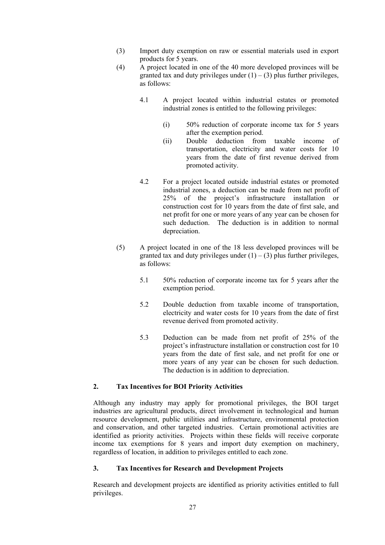- (3) Import duty exemption on raw or essential materials used in export products for 5 years.
- (4) A project located in one of the 40 more developed provinces will be granted tax and duty privileges under  $(1) - (3)$  plus further privileges, as follows:
	- 4.1 A project located within industrial estates or promoted industrial zones is entitled to the following privileges:
		- (i) 50% reduction of corporate income tax for 5 years after the exemption period.
		- (ii) Double deduction from taxable income of transportation, electricity and water costs for 10 years from the date of first revenue derived from promoted activity.
	- 4.2 For a project located outside industrial estates or promoted industrial zones, a deduction can be made from net profit of 25% of the project's infrastructure installation or construction cost for 10 years from the date of first sale, and net profit for one or more years of any year can be chosen for such deduction. The deduction is in addition to normal depreciation.
- (5) A project located in one of the 18 less developed provinces will be granted tax and duty privileges under  $(1) - (3)$  plus further privileges, as follows:
	- 5.1 50% reduction of corporate income tax for 5 years after the exemption period.
	- 5.2 Double deduction from taxable income of transportation, electricity and water costs for 10 years from the date of first revenue derived from promoted activity.
	- 5.3 Deduction can be made from net profit of 25% of the project's infrastructure installation or construction cost for 10 years from the date of first sale, and net profit for one or more years of any year can be chosen for such deduction. The deduction is in addition to depreciation.

# **2. Tax Incentives for BOI Priority Activities**

Although any industry may apply for promotional privileges, the BOI target industries are agricultural products, direct involvement in technological and human resource development, public utilities and infrastructure, environmental protection and conservation, and other targeted industries. Certain promotional activities are identified as priority activities. Projects within these fields will receive corporate income tax exemptions for 8 years and import duty exemption on machinery, regardless of location, in addition to privileges entitled to each zone.

# **3. Tax Incentives for Research and Development Projects**

Research and development projects are identified as priority activities entitled to full privileges.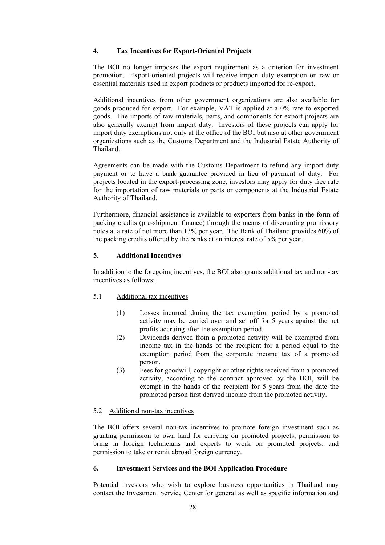## **4. Tax Incentives for Export-Oriented Projects**

The BOI no longer imposes the export requirement as a criterion for investment promotion. Export-oriented projects will receive import duty exemption on raw or essential materials used in export products or products imported for re-export.

Additional incentives from other government organizations are also available for goods produced for export. For example, VAT is applied at a 0% rate to exported goods. The imports of raw materials, parts, and components for export projects are also generally exempt from import duty. Investors of these projects can apply for import duty exemptions not only at the office of the BOI but also at other government organizations such as the Customs Department and the Industrial Estate Authority of Thailand.

Agreements can be made with the Customs Department to refund any import duty payment or to have a bank guarantee provided in lieu of payment of duty. For projects located in the export-processing zone, investors may apply for duty free rate for the importation of raw materials or parts or components at the Industrial Estate Authority of Thailand.

Furthermore, financial assistance is available to exporters from banks in the form of packing credits (pre-shipment finance) through the means of discounting promissory notes at a rate of not more than 13% per year. The Bank of Thailand provides 60% of the packing credits offered by the banks at an interest rate of 5% per year.

## **5. Additional Incentives**

In addition to the foregoing incentives, the BOI also grants additional tax and non-tax incentives as follows:

#### 5.1 Additional tax incentives

- (1) Losses incurred during the tax exemption period by a promoted activity may be carried over and set off for 5 years against the net profits accruing after the exemption period.
- (2) Dividends derived from a promoted activity will be exempted from income tax in the hands of the recipient for a period equal to the exemption period from the corporate income tax of a promoted person.
- (3) Fees for goodwill, copyright or other rights received from a promoted activity, according to the contract approved by the BOI, will be exempt in the hands of the recipient for 5 years from the date the promoted person first derived income from the promoted activity.

#### 5.2 Additional non-tax incentives

The BOI offers several non-tax incentives to promote foreign investment such as granting permission to own land for carrying on promoted projects, permission to bring in foreign technicians and experts to work on promoted projects, and permission to take or remit abroad foreign currency.

#### **6. Investment Services and the BOI Application Procedure**

Potential investors who wish to explore business opportunities in Thailand may contact the Investment Service Center for general as well as specific information and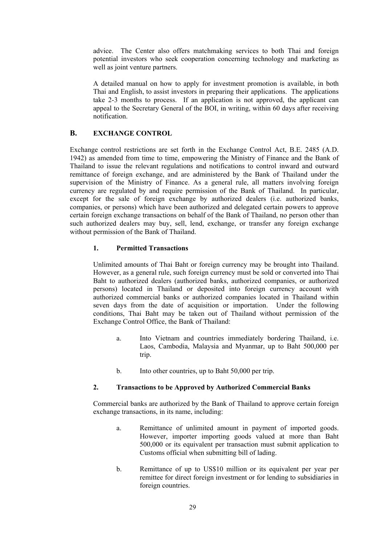advice. The Center also offers matchmaking services to both Thai and foreign potential investors who seek cooperation concerning technology and marketing as well as joint venture partners.

A detailed manual on how to apply for investment promotion is available, in both Thai and English, to assist investors in preparing their applications. The applications take 2-3 months to process. If an application is not approved, the applicant can appeal to the Secretary General of the BOI, in writing, within 60 days after receiving notification.

## **B. EXCHANGE CONTROL**

Exchange control restrictions are set forth in the Exchange Control Act, B.E. 2485 (A.D. 1942) as amended from time to time, empowering the Ministry of Finance and the Bank of Thailand to issue the relevant regulations and notifications to control inward and outward remittance of foreign exchange, and are administered by the Bank of Thailand under the supervision of the Ministry of Finance. As a general rule, all matters involving foreign currency are regulated by and require permission of the Bank of Thailand. In particular, except for the sale of foreign exchange by authorized dealers (i.e. authorized banks, companies, or persons) which have been authorized and delegated certain powers to approve certain foreign exchange transactions on behalf of the Bank of Thailand, no person other than such authorized dealers may buy, sell, lend, exchange, or transfer any foreign exchange without permission of the Bank of Thailand.

## **1. Permitted Transactions**

Unlimited amounts of Thai Baht or foreign currency may be brought into Thailand. However, as a general rule, such foreign currency must be sold or converted into Thai Baht to authorized dealers (authorized banks, authorized companies, or authorized persons) located in Thailand or deposited into foreign currency account with authorized commercial banks or authorized companies located in Thailand within seven days from the date of acquisition or importation. Under the following conditions, Thai Baht may be taken out of Thailand without permission of the Exchange Control Office, the Bank of Thailand:

- a. Into Vietnam and countries immediately bordering Thailand, i.e. Laos, Cambodia, Malaysia and Myanmar, up to Baht 500,000 per trip.
- b. Into other countries, up to Baht 50,000 per trip.

#### **2. Transactions to be Approved by Authorized Commercial Banks**

Commercial banks are authorized by the Bank of Thailand to approve certain foreign exchange transactions, in its name, including:

- a. Remittance of unlimited amount in payment of imported goods. However, importer importing goods valued at more than Baht 500,000 or its equivalent per transaction must submit application to Customs official when submitting bill of lading.
- b. Remittance of up to US\$10 million or its equivalent per year per remittee for direct foreign investment or for lending to subsidiaries in foreign countries.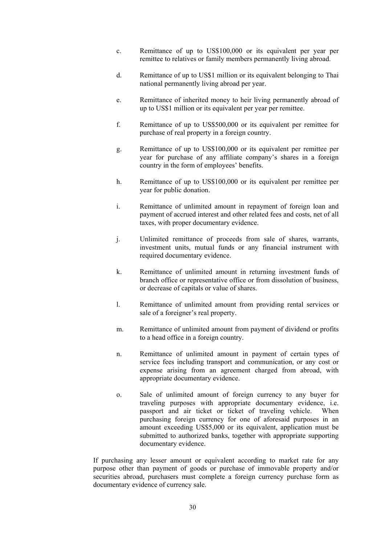- c. Remittance of up to US\$100,000 or its equivalent per year per remittee to relatives or family members permanently living abroad.
- d. Remittance of up to US\$1 million or its equivalent belonging to Thai national permanently living abroad per year.
- e. Remittance of inherited money to heir living permanently abroad of up to US\$1 million or its equivalent per year per remittee.
- f. Remittance of up to US\$500,000 or its equivalent per remittee for purchase of real property in a foreign country.
- g. Remittance of up to US\$100,000 or its equivalent per remittee per year for purchase of any affiliate company's shares in a foreign country in the form of employees' benefits.
- h. Remittance of up to US\$100,000 or its equivalent per remittee per year for public donation.
- i. Remittance of unlimited amount in repayment of foreign loan and payment of accrued interest and other related fees and costs, net of all taxes, with proper documentary evidence.
- j. Unlimited remittance of proceeds from sale of shares, warrants, investment units, mutual funds or any financial instrument with required documentary evidence.
- k. Remittance of unlimited amount in returning investment funds of branch office or representative office or from dissolution of business, or decrease of capitals or value of shares.
- l. Remittance of unlimited amount from providing rental services or sale of a foreigner's real property.
- m. Remittance of unlimited amount from payment of dividend or profits to a head office in a foreign country.
- n. Remittance of unlimited amount in payment of certain types of service fees including transport and communication, or any cost or expense arising from an agreement charged from abroad, with appropriate documentary evidence.
- o. Sale of unlimited amount of foreign currency to any buyer for traveling purposes with appropriate documentary evidence, i.e. passport and air ticket or ticket of traveling vehicle. When purchasing foreign currency for one of aforesaid purposes in an amount exceeding US\$5,000 or its equivalent, application must be submitted to authorized banks, together with appropriate supporting documentary evidence.

If purchasing any lesser amount or equivalent according to market rate for any purpose other than payment of goods or purchase of immovable property and/or securities abroad, purchasers must complete a foreign currency purchase form as documentary evidence of currency sale.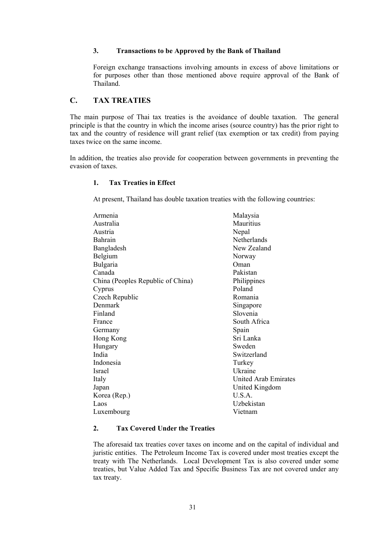#### **3. Transactions to be Approved by the Bank of Thailand**

Foreign exchange transactions involving amounts in excess of above limitations or for purposes other than those mentioned above require approval of the Bank of Thailand.

# **C. TAX TREATIES**

The main purpose of Thai tax treaties is the avoidance of double taxation. The general principle is that the country in which the income arises (source country) has the prior right to tax and the country of residence will grant relief (tax exemption or tax credit) from paying taxes twice on the same income.

In addition, the treaties also provide for cooperation between governments in preventing the evasion of taxes.

# **1. Tax Treaties in Effect**

At present, Thailand has double taxation treaties with the following countries:

| Armenia                           | Malaysia                    |
|-----------------------------------|-----------------------------|
| Australia                         | <b>Mauritius</b>            |
| Austria                           | Nepal                       |
| <b>Bahrain</b>                    | Netherlands                 |
| Bangladesh                        | New Zealand                 |
| Belgium                           | Norway                      |
| Bulgaria                          | Oman                        |
| Canada                            | Pakistan                    |
| China (Peoples Republic of China) | Philippines                 |
| Cyprus                            | Poland                      |
| Czech Republic                    | Romania                     |
| Denmark                           | Singapore                   |
| Finland                           | Slovenia                    |
| France                            | South Africa                |
| Germany                           | Spain                       |
| Hong Kong                         | Sri Lanka                   |
| Hungary                           | Sweden                      |
| India                             | Switzerland                 |
| Indonesia                         | Turkey                      |
| Israel                            | Ukraine                     |
| Italy                             | <b>United Arab Emirates</b> |
| Japan                             | United Kingdom              |
| Korea (Rep.)                      | U.S.A.                      |
| Laos                              | Uzbekistan                  |
| Luxembourg                        | Vietnam                     |

## **2. Tax Covered Under the Treaties**

The aforesaid tax treaties cover taxes on income and on the capital of individual and juristic entities. The Petroleum Income Tax is covered under most treaties except the treaty with The Netherlands. Local Development Tax is also covered under some treaties, but Value Added Tax and Specific Business Tax are not covered under any tax treaty.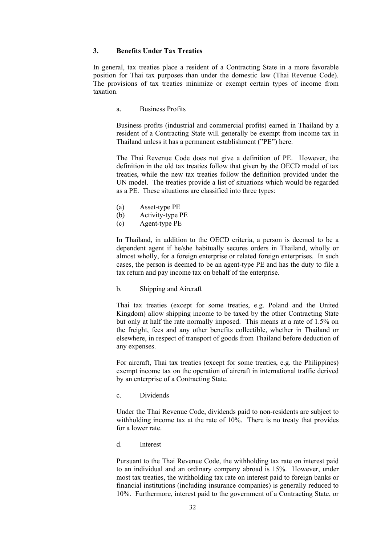#### **3. Benefits Under Tax Treaties**

In general, tax treaties place a resident of a Contracting State in a more favorable position for Thai tax purposes than under the domestic law (Thai Revenue Code). The provisions of tax treaties minimize or exempt certain types of income from taxation.

a. Business Profits

Business profits (industrial and commercial profits) earned in Thailand by a resident of a Contracting State will generally be exempt from income tax in Thailand unless it has a permanent establishment ("PE") here.

The Thai Revenue Code does not give a definition of PE. However, the definition in the old tax treaties follow that given by the OECD model of tax treaties, while the new tax treaties follow the definition provided under the UN model. The treaties provide a list of situations which would be regarded as a PE. These situations are classified into three types:

- (a) Asset-type PE
- (b) Activity-type PE
- (c) Agent-type PE

In Thailand, in addition to the OECD criteria, a person is deemed to be a dependent agent if he/she habitually secures orders in Thailand, wholly or almost wholly, for a foreign enterprise or related foreign enterprises. In such cases, the person is deemed to be an agent-type PE and has the duty to file a tax return and pay income tax on behalf of the enterprise.

b. Shipping and Aircraft

Thai tax treaties (except for some treaties, e.g. Poland and the United Kingdom) allow shipping income to be taxed by the other Contracting State but only at half the rate normally imposed. This means at a rate of 1.5% on the freight, fees and any other benefits collectible, whether in Thailand or elsewhere, in respect of transport of goods from Thailand before deduction of any expenses.

For aircraft, Thai tax treaties (except for some treaties, e.g. the Philippines) exempt income tax on the operation of aircraft in international traffic derived by an enterprise of a Contracting State.

c. Dividends

Under the Thai Revenue Code, dividends paid to non-residents are subject to withholding income tax at the rate of 10%. There is no treaty that provides for a lower rate.

d. Interest

Pursuant to the Thai Revenue Code, the withholding tax rate on interest paid to an individual and an ordinary company abroad is 15%. However, under most tax treaties, the withholding tax rate on interest paid to foreign banks or financial institutions (including insurance companies) is generally reduced to 10%. Furthermore, interest paid to the government of a Contracting State, or